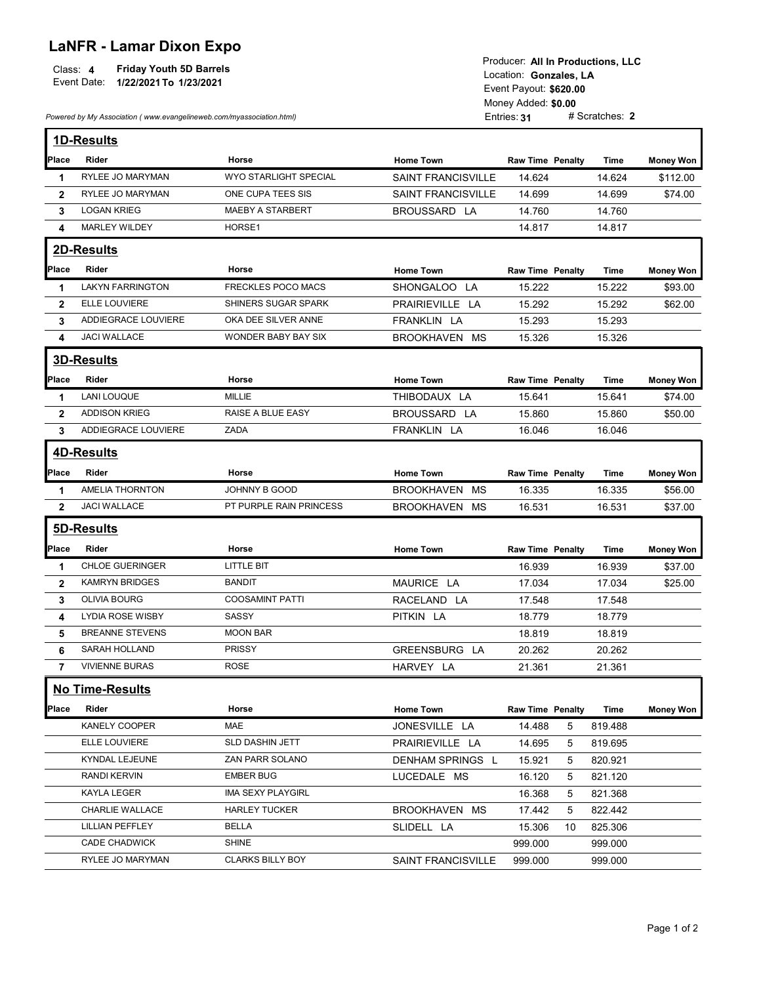## LaNFR - Lamar Dixon Expo

| <b>Friday Youth 5D Barrels</b><br>Class: 4<br>Event Date:<br>1/22/2021 To 1/23/2021 | Producer: All In Productions, LLC<br>Location: Gonzales. LA<br>Event Payout: \$620.00 |  |  |
|-------------------------------------------------------------------------------------|---------------------------------------------------------------------------------------|--|--|
|                                                                                     | Money Added: \$0.00                                                                   |  |  |
| Powered by My Association (www.evangelineweb.com/myassociation.html)                | # Scratches: 2<br>Entries: 31                                                         |  |  |

|                             | Event Date:<br>1/22/2021 To 1/23/2021<br>Powered by My Association (www.evangelineweb.com/myassociation.html) | Producer: All In Productions, LLC<br>Location: Gonzales, LA<br>Event Payout: \$620.00<br>Money Added: \$0.00<br># Scratches: 2<br>Entries: 31 |                                                        |                           |                  |                  |
|-----------------------------|---------------------------------------------------------------------------------------------------------------|-----------------------------------------------------------------------------------------------------------------------------------------------|--------------------------------------------------------|---------------------------|------------------|------------------|
|                             |                                                                                                               |                                                                                                                                               |                                                        |                           |                  |                  |
|                             | 1D-Results                                                                                                    |                                                                                                                                               |                                                        |                           |                  |                  |
| Place                       | Rider                                                                                                         | Horse                                                                                                                                         | <b>Home Town</b>                                       | <b>Raw Time Penalty</b>   | Time             | <b>Money Won</b> |
| -1                          | RYLEE JO MARYMAN<br>RYLEE JO MARYMAN                                                                          | WYO STARLIGHT SPECIAL<br>ONE CUPA TEES SIS                                                                                                    | <b>SAINT FRANCISVILLE</b><br><b>SAINT FRANCISVILLE</b> | 14.624<br>14.699          | 14.624           | \$112.00         |
| $\mathbf{2}$<br>$3^{\circ}$ | <b>LOGAN KRIEG</b>                                                                                            | <b>MAEBY A STARBERT</b>                                                                                                                       | BROUSSARD LA                                           | 14.760                    | 14.699<br>14.760 | \$74.00          |
| 4                           | <b>MARLEY WILDEY</b>                                                                                          | HORSE1                                                                                                                                        |                                                        | 14.817                    | 14.817           |                  |
|                             |                                                                                                               |                                                                                                                                               |                                                        |                           |                  |                  |
|                             | 2D-Results                                                                                                    |                                                                                                                                               |                                                        |                           |                  |                  |
| Place                       | Rider                                                                                                         | Horse                                                                                                                                         | <b>Home Town</b>                                       | Raw Time Penalty          | Time             | <b>Money Won</b> |
| $\mathbf 1$                 | <b>LAKYN FARRINGTON</b>                                                                                       | FRECKLES POCO MACS                                                                                                                            | SHONGALOO LA                                           | 15.222                    | 15.222           | \$93.00          |
| $\mathbf{2}$<br>3           | ELLE LOUVIERE<br>ADDIEGRACE LOUVIERE                                                                          | SHINERS SUGAR SPARK<br>OKA DEE SILVER ANNE                                                                                                    | PRAIRIEVILLE LA<br>FRANKLIN LA                         | 15.292<br>15.293          | 15.292<br>15.293 | \$62.00          |
| 4                           | JACI WALLACE                                                                                                  | WONDER BABY BAY SIX                                                                                                                           | BROOKHAVEN MS                                          | 15.326                    | 15.326           |                  |
|                             |                                                                                                               |                                                                                                                                               |                                                        |                           |                  |                  |
|                             | <b>3D-Results</b>                                                                                             |                                                                                                                                               |                                                        |                           |                  |                  |
| Place                       | Rider                                                                                                         | Horse                                                                                                                                         | <b>Home Town</b>                                       | <b>Raw Time Penalty</b>   | Time             | <b>Money Won</b> |
| -1                          | <b>LANI LOUQUE</b>                                                                                            | MILLIE                                                                                                                                        | THIBODAUX LA                                           | 15.641                    | 15.641           | \$74.00          |
| $\overline{2}$              | <b>ADDISON KRIEG</b>                                                                                          | RAISE A BLUE EASY                                                                                                                             | BROUSSARD LA                                           | 15.860                    | 15.860           | \$50.00          |
| 3                           | ADDIEGRACE LOUVIERE                                                                                           | ZADA                                                                                                                                          | FRANKLIN LA                                            | 16.046                    | 16.046           |                  |
|                             | <b>4D-Results</b>                                                                                             |                                                                                                                                               |                                                        |                           |                  |                  |
| Place                       | Rider                                                                                                         | Horse                                                                                                                                         | <b>Home Town</b>                                       | <b>Raw Time Penalty</b>   | Time             | <b>Money Won</b> |
| -1                          | <b>AMELIA THORNTON</b>                                                                                        | JOHNNY B GOOD                                                                                                                                 | BROOKHAVEN MS                                          | 16.335                    | 16.335           | \$56.00          |
| $\mathbf{2}$                | JACI WALLACE                                                                                                  | PT PURPLE RAIN PRINCESS                                                                                                                       | BROOKHAVEN MS                                          | 16.531                    | 16.531           | \$37.00          |
|                             | 5D-Results                                                                                                    |                                                                                                                                               |                                                        |                           |                  |                  |
| Place                       | Rider                                                                                                         | Horse                                                                                                                                         | <b>Home Town</b>                                       | Raw Time Penalty          | Time             | <b>Money Won</b> |
| -1                          | CHLOE GUERINGER                                                                                               | LITTLE BIT                                                                                                                                    |                                                        | 16.939                    | 16.939           | \$37.00          |
| $\mathbf{2}$                | KAMRYN BRIDGES                                                                                                | <b>BANDIT</b>                                                                                                                                 | MAURICE LA                                             | 17.034                    | 17.034           | \$25.00          |
| 3                           | OLIVIA BOURG                                                                                                  | <b>COOSAMINT PATTI</b>                                                                                                                        | RACELAND LA                                            | 17.548                    | 17.548           |                  |
| 4                           | LYDIA ROSE WISBY                                                                                              | SASSY                                                                                                                                         | PITKIN LA                                              | 18.779                    | 18.779           |                  |
| 5                           | <b>BREANNE STEVENS</b>                                                                                        | <b>MOON BAR</b>                                                                                                                               |                                                        | 18.819                    | 18.819           |                  |
| 6                           | SARAH HOLLAND                                                                                                 | PRISSY                                                                                                                                        | GREENSBURG LA                                          | 20.262                    | 20.262           |                  |
| $\overline{7}$              | <b>VIVIENNE BURAS</b>                                                                                         | <b>ROSE</b>                                                                                                                                   | HARVEY LA                                              | 21.361                    | 21.361           |                  |
|                             | No Time-Results                                                                                               |                                                                                                                                               |                                                        |                           |                  |                  |
| Place                       | Rider                                                                                                         | Horse                                                                                                                                         | <b>Home Town</b>                                       | Raw Time Penalty          | Time             | <b>Money Won</b> |
|                             | KANELY COOPER                                                                                                 | MAE                                                                                                                                           | JONESVILLE LA                                          | 14.488<br>$5\overline{)}$ | 819.488          |                  |
|                             | ELLE LOUVIERE                                                                                                 | SLD DASHIN JETT                                                                                                                               | PRAIRIEVILLE LA                                        | 14.695<br>5               | 819.695          |                  |
|                             | KYNDAL LEJEUNE                                                                                                | ZAN PARR SOLANO                                                                                                                               | DENHAM SPRINGS L                                       | 15.921<br>5               | 820.921          |                  |
|                             | RANDI KERVIN                                                                                                  | <b>EMBER BUG</b>                                                                                                                              | LUCEDALE MS                                            | 16.120<br>5               | 821.120          |                  |
|                             | <b>KAYLA LEGER</b>                                                                                            | <b>IMA SEXY PLAYGIRL</b>                                                                                                                      |                                                        | 16.368<br>5               | 821.368          |                  |
|                             | CHARLIE WALLACE                                                                                               | <b>HARLEY TUCKER</b>                                                                                                                          | BROOKHAVEN MS                                          | 17.442<br>5               | 822.442          |                  |
|                             | <b>LILLIAN PEFFLEY</b>                                                                                        | <b>BELLA</b>                                                                                                                                  | SLIDELL LA                                             | 15.306<br>10              | 825.306          |                  |
|                             | CADE CHADWICK                                                                                                 | <b>SHINE</b>                                                                                                                                  |                                                        | 999.000                   | 999.000          |                  |
|                             |                                                                                                               |                                                                                                                                               |                                                        |                           |                  |                  |